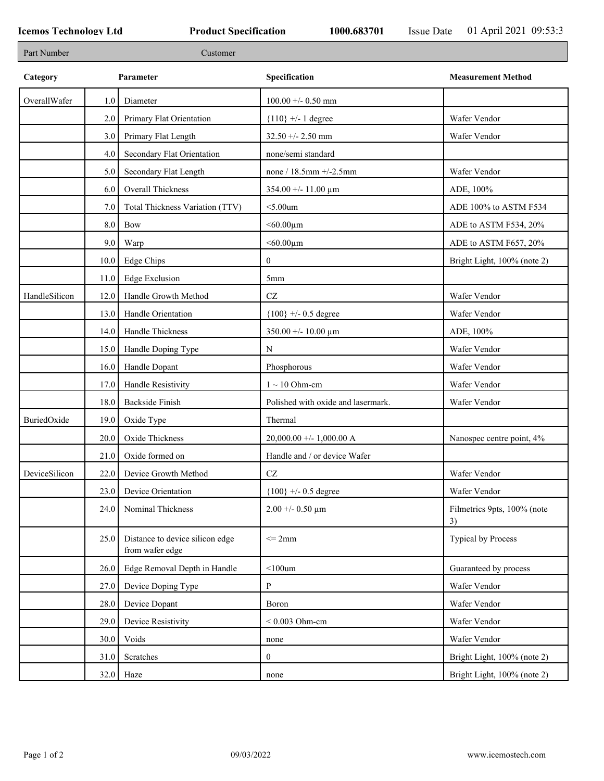٦

| Part Number   |      | Customer                                           |                                    |                                   |
|---------------|------|----------------------------------------------------|------------------------------------|-----------------------------------|
| Category      |      | Parameter                                          | Specification                      | <b>Measurement Method</b>         |
| OverallWafer  | 1.0  | Diameter                                           | $100.00 +/- 0.50$ mm               |                                   |
|               | 2.0  | Primary Flat Orientation                           | ${110}$ +/- 1 degree               | Wafer Vendor                      |
|               | 3.0  | Primary Flat Length                                | $32.50 + - 2.50$ mm                | Wafer Vendor                      |
|               | 4.0  | Secondary Flat Orientation                         | none/semi standard                 |                                   |
|               | 5.0  | Secondary Flat Length                              | none / $18.5$ mm $+/-2.5$ mm       | Wafer Vendor                      |
|               | 6.0  | Overall Thickness                                  | $354.00 + - 11.00 \mu m$           | ADE, 100%                         |
|               | 7.0  | Total Thickness Variation (TTV)                    | $<$ 5.00 $um$                      | ADE 100% to ASTM F534             |
|               | 8.0  | Bow                                                | $< 60.00 \mu m$                    | ADE to ASTM F534, 20%             |
|               | 9.0  | Warp                                               | $< 60.00 \mu m$                    | ADE to ASTM F657, 20%             |
|               | 10.0 | Edge Chips                                         | $\mathbf{0}$                       | Bright Light, 100% (note 2)       |
|               | 11.0 | <b>Edge Exclusion</b>                              | 5 <sub>mm</sub>                    |                                   |
| HandleSilicon | 12.0 | Handle Growth Method                               | $\operatorname{CZ}$                | Wafer Vendor                      |
|               | 13.0 | Handle Orientation                                 | ${100}$ +/- 0.5 degree             | Wafer Vendor                      |
|               | 14.0 | Handle Thickness                                   | $350.00 + - 10.00 \mu m$           | ADE, 100%                         |
|               | 15.0 | Handle Doping Type                                 | N                                  | Wafer Vendor                      |
|               | 16.0 | Handle Dopant                                      | Phosphorous                        | Wafer Vendor                      |
|               | 17.0 | Handle Resistivity                                 | $1 \sim 10$ Ohm-cm                 | Wafer Vendor                      |
|               | 18.0 | <b>Backside Finish</b>                             | Polished with oxide and lasermark. | Wafer Vendor                      |
| BuriedOxide   | 19.0 | Oxide Type                                         | Thermal                            |                                   |
|               | 20.0 | Oxide Thickness                                    | $20,000.00 +/- 1,000.00 A$         | Nanospec centre point, 4%         |
|               | 21.0 | Oxide formed on                                    | Handle and / or device Wafer       |                                   |
| DeviceSilicon | 22.0 | Device Growth Method                               | $\operatorname{CZ}$                | Wafer Vendor                      |
|               | 23.0 | Device Orientation                                 | ${100}$ +/- 0.5 degree             | Wafer Vendor                      |
|               | 24.0 | Nominal Thickness                                  | $2.00 + -0.50 \mu m$               | Filmetrics 9pts, 100% (note<br>3) |
|               | 25.0 | Distance to device silicon edge<br>from wafer edge | $\leq$ 2mm                         | Typical by Process                |
|               | 26.0 | Edge Removal Depth in Handle                       | $<$ 100 $um$                       | Guaranteed by process             |
|               | 27.0 | Device Doping Type                                 | $\mathbf{P}$                       | Wafer Vendor                      |
|               | 28.0 | Device Dopant                                      | Boron                              | Wafer Vendor                      |
|               | 29.0 | Device Resistivity                                 | $< 0.003$ Ohm-cm                   | Wafer Vendor                      |
|               | 30.0 | Voids                                              | none                               | Wafer Vendor                      |
|               | 31.0 | Scratches                                          | $\overline{0}$                     | Bright Light, 100% (note 2)       |
|               |      | $32.0$ Haze                                        | none                               | Bright Light, 100% (note 2)       |
|               |      |                                                    |                                    |                                   |